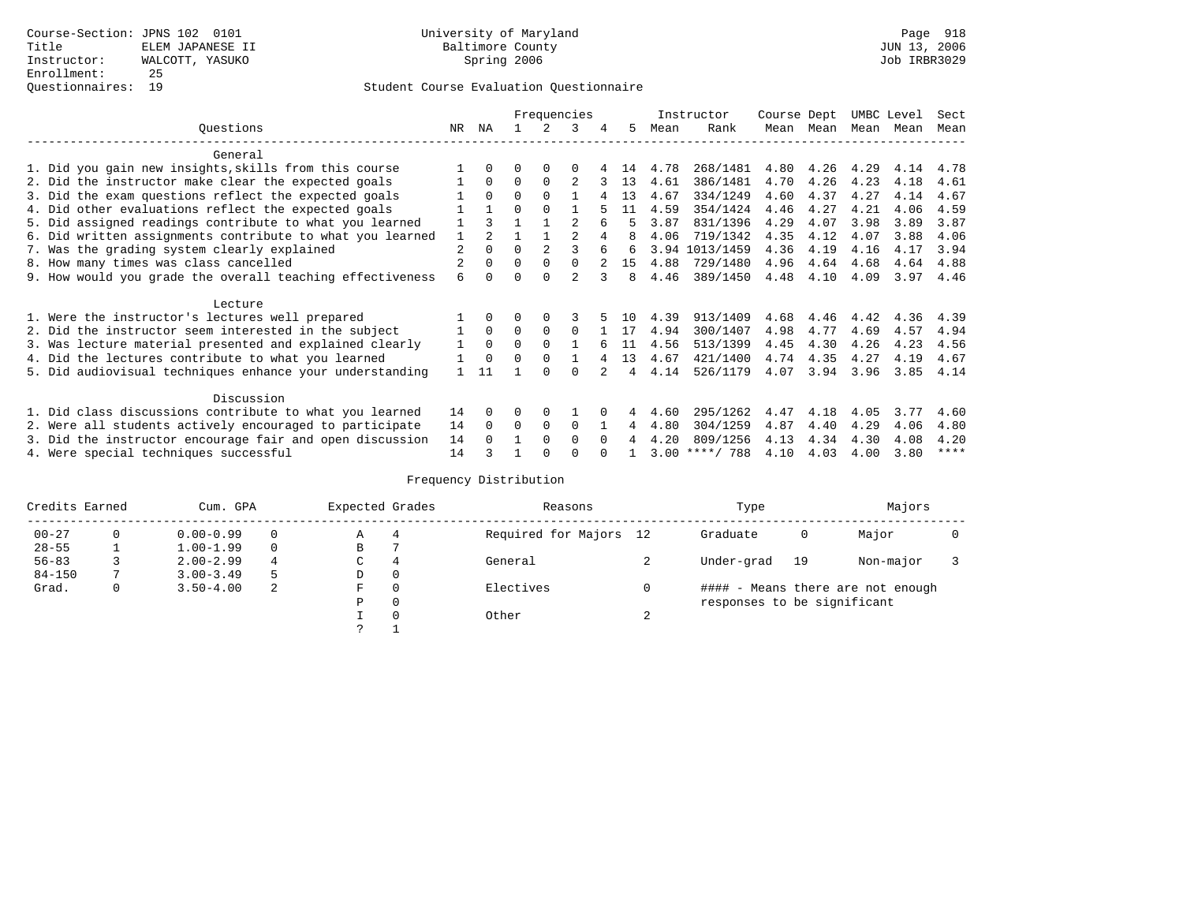# Student Course Evaluation Questionnaire

|                                                           |                |               | Frequencies |                |                |          |     |      | Instructor       | Course Dept |      | UMBC Level |      | Sect        |
|-----------------------------------------------------------|----------------|---------------|-------------|----------------|----------------|----------|-----|------|------------------|-------------|------|------------|------|-------------|
| Ouestions                                                 | NR.            | ΝA            |             |                | 3              | 4        | 5.  | Mean | Rank             | Mean        | Mean | Mean       | Mean | Mean        |
| General                                                   |                |               |             |                |                |          |     |      |                  |             |      |            |      |             |
| 1. Did you gain new insights, skills from this course     |                | $\Omega$      | O           | $\Omega$       | $\Omega$       |          | 14  | 4.78 | 268/1481         | 4.80        | 4.26 | 4.29       | 4.14 | 4.78        |
| 2. Did the instructor make clear the expected goals       |                | $\Omega$      | $\Omega$    | $\Omega$       | $\overline{c}$ |          | 13  | 4.61 | 386/1481         | 4.70        | 4.26 | 4.23       | 4.18 | 4.61        |
| 3. Did the exam questions reflect the expected goals      |                | $\Omega$      | $\Omega$    | $\Omega$       |                |          | 13  | 4.67 | 334/1249         | 4.60        | 4.37 | 4.27       | 4.14 | 4.67        |
| 4. Did other evaluations reflect the expected goals       |                |               | $\Omega$    | $\Omega$       |                |          | 11  | 4.59 | 354/1424         | 4.46        | 4.27 | 4.21       | 4.06 | 4.59        |
| 5. Did assigned readings contribute to what you learned   |                |               |             |                | $\mathfrak{D}$ |          |     | 3.87 | 831/1396         | 4.29        | 4.07 | 3.98       | 3.89 | 3.87        |
| 6. Did written assignments contribute to what you learned | $\mathbf{1}$   | $\mathcal{D}$ |             |                |                |          | 8   | 4.06 | 719/1342         | 4.35        | 4.12 | 4.07       | 3.88 | 4.06        |
| 7. Was the grading system clearly explained               | $\overline{2}$ | $\Omega$      | $\Omega$    | $\mathfrak{D}$ |                | 6        | 6   | 3.94 | 1013/1459        | 4.36        | 4.19 | 4.16       | 4.17 | 3.94        |
| 8. How many times was class cancelled                     |                | $\Omega$      | $\Omega$    | $\Omega$       | $\Omega$       |          | 15  | 4.88 | 729/1480         | 4.96        | 4.64 | 4.68       | 4.64 | 4.88        |
| 9. How would you grade the overall teaching effectiveness | 6              | <sup>n</sup>  | U           | $\cap$         | $\mathcal{D}$  | २        | 8   | 4.46 | 389/1450         | 4.48        | 4.10 | 4.09       | 3.97 | 4.46        |
|                                                           |                |               |             |                |                |          |     |      |                  |             |      |            |      |             |
| Lecture                                                   |                |               |             |                |                |          |     |      |                  |             |      |            |      |             |
| 1. Were the instructor's lectures well prepared           |                |               |             |                |                |          | 1 O | 4.39 | 913/1409         | 4.68        | 4.46 | 4.42       | 4.36 | 4.39        |
| 2. Did the instructor seem interested in the subject      |                | $\Omega$      | $\Omega$    | $\Omega$       | $\Omega$       |          | 17  | 4.94 | 300/1407         | 4.98        | 4.77 | 4.69       | 4.57 | 4.94        |
| 3. Was lecture material presented and explained clearly   | 1              | $\Omega$      | $\Omega$    | $\Omega$       |                |          | 11  | 4.56 | 513/1399         | 4.45        | 4.30 | 4.26       | 4.23 | 4.56        |
| 4. Did the lectures contribute to what you learned        |                | $\Omega$      | $\Omega$    | $\Omega$       |                |          | 13  | 4.67 | 421/1400         | 4.74        | 4.35 | 4.27       | 4.19 | 4.67        |
| 5. Did audiovisual techniques enhance your understanding  |                | 11            |             | ∩              | $\cap$         |          | 4   | 4.14 | 526/1179         | 4.07        | 3.94 | 3.96       | 3.85 | 4.14        |
| Discussion                                                |                |               |             |                |                |          |     |      |                  |             |      |            |      |             |
| 1. Did class discussions contribute to what you learned   | 14             | $\Omega$      | O           | $\Omega$       |                |          |     | 4.60 | 295/1262         | 4.47        | 4.18 | 4.05       | 3.77 | 4.60        |
|                                                           |                |               |             |                |                |          |     |      |                  |             |      |            |      |             |
| 2. Were all students actively encouraged to participate   | 14             | $\Omega$      | $\Omega$    | 0              | $\Omega$       |          | 4   | 4.80 | 304/1259         | 4.87        | 4.40 | 4.29       | 4.06 | 4.80        |
| 3. Did the instructor encourage fair and open discussion  | 14             |               |             | $\Omega$       | $\Omega$       | $\Omega$ |     | 4.20 | 809/1256         | 4.13        | 4.34 | 4.30       | 4.08 | 4.20        |
| 4. Were special techniques successful                     | 14             |               |             |                |                |          |     |      | $3.00$ ****/ 788 | 4.10        | 4.03 | 4.00       | 3.80 | $***$ * * * |

| Credits Earned |   | Cum. GPA      | Expected Grades |          | Reasons  |                        | Type |                             | Majors |                                   |  |
|----------------|---|---------------|-----------------|----------|----------|------------------------|------|-----------------------------|--------|-----------------------------------|--|
| $00 - 27$      |   | $0.00 - 0.99$ |                 | Α        | 4        | Required for Majors 12 |      | Graduate                    | 0      | Major                             |  |
| $28 - 55$      |   | $1.00 - 1.99$ | $\Omega$        | В        |          |                        |      |                             |        |                                   |  |
| $56 - 83$      |   | $2.00 - 2.99$ | 4               | С        | 4        | General                |      | Under-grad                  | 19     | Non-major                         |  |
| $84 - 150$     |   | $3.00 - 3.49$ |                 | D        | 0        |                        |      |                             |        |                                   |  |
| Grad.          | 0 | $3.50 - 4.00$ | -2              | F        | $\Omega$ | Electives              |      |                             |        | #### - Means there are not enough |  |
|                |   |               |                 | Ρ        | 0        |                        |      | responses to be significant |        |                                   |  |
|                |   |               |                 | $\Omega$ | Other    | $\sim$                 |      |                             |        |                                   |  |
|                |   |               |                 |          |          |                        |      |                             |        |                                   |  |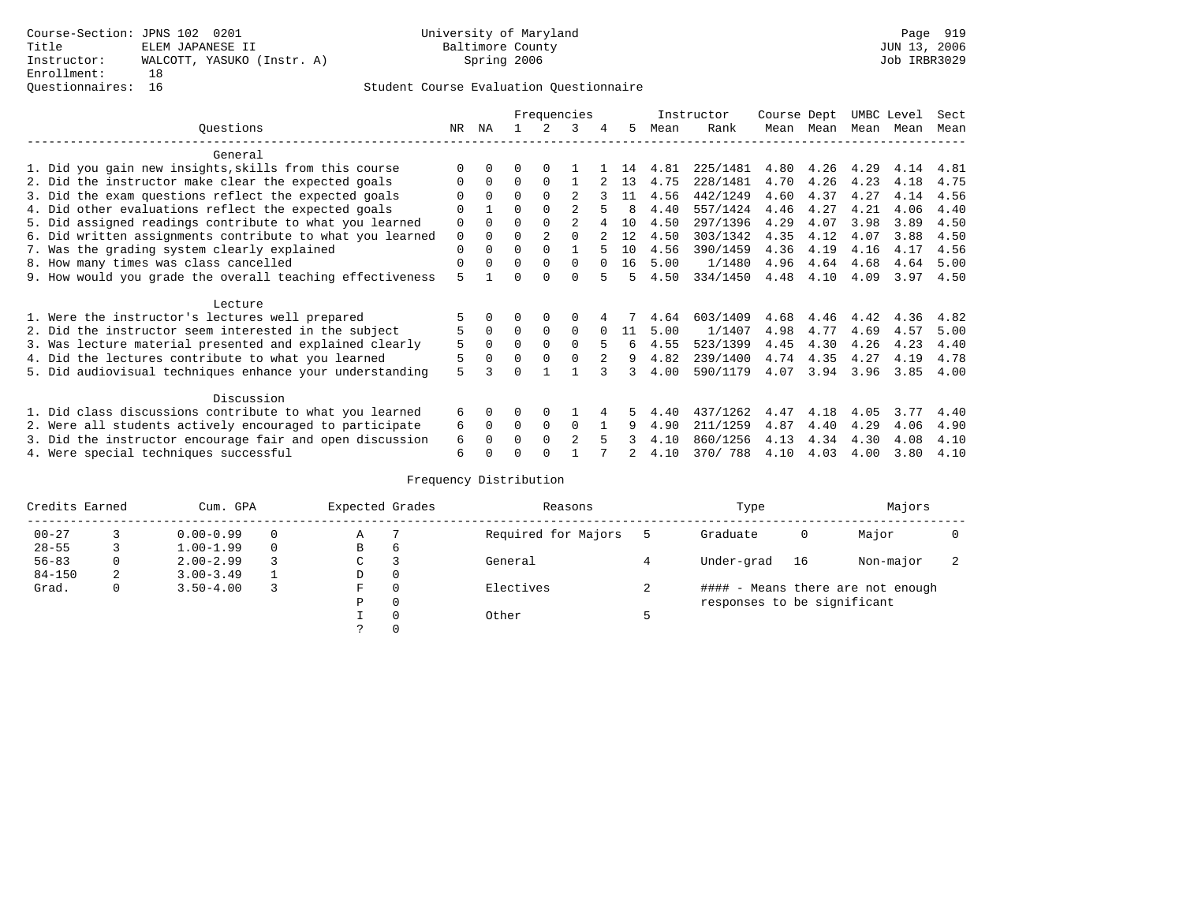## Questionnaires: 16 Student Course Evaluation Questionnaire

|                                                           |             |          | Frequencies |                |                |          |    | Instructor |          | Course Dept |      | UMBC Level |      | Sect |
|-----------------------------------------------------------|-------------|----------|-------------|----------------|----------------|----------|----|------------|----------|-------------|------|------------|------|------|
| Ouestions                                                 | NR.         | ΝA       |             |                | 3              |          | 5. | Mean       | Rank     | Mean        | Mean | Mean       | Mean | Mean |
| General                                                   |             |          |             |                |                |          |    |            |          |             |      |            |      |      |
| 1. Did you gain new insights, skills from this course     | $\Omega$    | $\Omega$ | O           | $\Omega$       |                |          | 14 | 4.81       | 225/1481 | 4.80        | 4.26 | 4.29       | 4.14 | 4.81 |
| 2. Did the instructor make clear the expected goals       | O           | $\Omega$ | $\Omega$    | $\Omega$       |                |          | 13 | 4.75       | 228/1481 | 4.70        | 4.26 | 4.23       | 4.18 | 4.75 |
| 3. Did the exam questions reflect the expected goals      |             | $\Omega$ | $\Omega$    | $\Omega$       |                |          | 11 | 4.56       | 442/1249 | 4.60        | 4.37 | 4.27       | 4.14 | 4.56 |
| 4. Did other evaluations reflect the expected goals       | O           |          | $\Omega$    | $\Omega$       |                |          | я  | 4.40       | 557/1424 | 4.46        | 4.27 | 4.21       | 4.06 | 4.40 |
| 5. Did assigned readings contribute to what you learned   | $\mathbf 0$ | $\Omega$ |             | $\Omega$       | $\mathfrak{D}$ |          | 10 | 4.50       | 297/1396 | 4.29        | 4.07 | 3.98       | 3.89 | 4.50 |
| 6. Did written assignments contribute to what you learned | 0           | $\Omega$ | $\Omega$    | $\mathfrak{D}$ | $\cap$         |          | 12 | 4.50       | 303/1342 | 4.35        | 4.12 | 4.07       | 3.88 | 4.50 |
| 7. Was the grading system clearly explained               | $\Omega$    | $\Omega$ | $\Omega$    | $\Omega$       |                |          | 10 | 4.56       | 390/1459 | 4.36        | 4.19 | 4.16       | 4.17 | 4.56 |
| 8. How many times was class cancelled                     | $\Omega$    | $\Omega$ | $\Omega$    | $\Omega$       | $\Omega$       | $\cap$   | 16 | 5.00       | 1/1480   | 4.96        | 4.64 | 4.68       | 4.64 | 5.00 |
| 9. How would you grade the overall teaching effectiveness | 5           |          | U           | ∩              | U              | 5        | 5  | 4.50       | 334/1450 | 4.48        | 4.10 | 4.09       | 3.97 | 4.50 |
| Lecture                                                   |             |          |             |                |                |          |    |            |          |             |      |            |      |      |
| 1. Were the instructor's lectures well prepared           |             |          |             |                |                |          |    | 4.64       | 603/1409 | 4.68        | 4.46 | 4.42       | 4.36 | 4.82 |
| 2. Did the instructor seem interested in the subject      | 5           | $\Omega$ | $\Omega$    | $\Omega$       | $\Omega$       | $\Omega$ | 11 | 5.00       | 1/1407   | 4.98        | 4.77 | 4.69       | 4.57 | 5.00 |
| 3. Was lecture material presented and explained clearly   | 5           | $\Omega$ | $\Omega$    | $\Omega$       | $\Omega$       |          | 6  | 4.55       | 523/1399 | 4.45        | 4.30 | 4.26       | 4.23 | 4.40 |
| 4. Did the lectures contribute to what you learned        | 5           | $\Omega$ | $\Omega$    | $\Omega$       | $\Omega$       |          | 9  | 4.82       | 239/1400 | 4.74        | 4.35 | 4.27       | 4.19 | 4.78 |
| 5. Did audiovisual techniques enhance your understanding  | 5           |          |             |                |                |          |    | 4.00       | 590/1179 | 4.07        | 3.94 | 3.96       | 3.85 | 4.00 |
| Discussion                                                |             |          |             |                |                |          |    |            |          |             |      |            |      |      |
| 1. Did class discussions contribute to what you learned   | 6           | $\Omega$ | U           | $\Omega$       |                |          | 5. | 4.40       | 437/1262 | 4.47        | 4.18 | 4.05       | 3.77 | 4.40 |
| 2. Were all students actively encouraged to participate   | 6           | $\Omega$ | $\Omega$    | $\Omega$       | $\Omega$       |          | 9  | 4.90       | 211/1259 | 4.87        | 4.40 | 4.29       | 4.06 | 4.90 |
| 3. Did the instructor encourage fair and open discussion  | 6           |          | O           | $\Omega$       | $\mathfrak{D}$ |          |    | 4.10       | 860/1256 | 4.13        | 4.34 | 4.30       | 4.08 | 4.10 |
| 4. Were special techniques successful                     | 6           |          |             |                |                |          |    | 4.10       | 370/788  | 4.10        | 4.03 | 4.00       | 3.80 | 4.10 |

| Credits Earned |   | Cum. GPA      |  |             | Expected Grades | Reasons             | Type                        | Majors |                                   |                          |
|----------------|---|---------------|--|-------------|-----------------|---------------------|-----------------------------|--------|-----------------------------------|--------------------------|
| $00 - 27$      |   | $0.00 - 0.99$ |  | Α           |                 | Required for Majors | Graduate                    | 0      | Major                             |                          |
| $28 - 55$      |   | $1.00 - 1.99$ |  | B           | 6               |                     |                             |        |                                   |                          |
| $56 - 83$      | 0 | $2.00 - 2.99$ |  | $\sim$<br>◡ |                 | General             | Under-grad                  | 16     | Non-major                         | $\overline{\phantom{a}}$ |
| $84 - 150$     | 2 | $3.00 - 3.49$ |  | D           | 0               |                     |                             |        |                                   |                          |
| Grad.          | 0 | $3.50 - 4.00$ |  | F           | 0               | Electives           |                             |        | #### - Means there are not enough |                          |
|                |   |               |  | Ρ           | 0               |                     | responses to be significant |        |                                   |                          |
|                |   |               |  |             | 0               | Other               |                             |        |                                   |                          |
|                |   |               |  | C.          |                 |                     |                             |        |                                   |                          |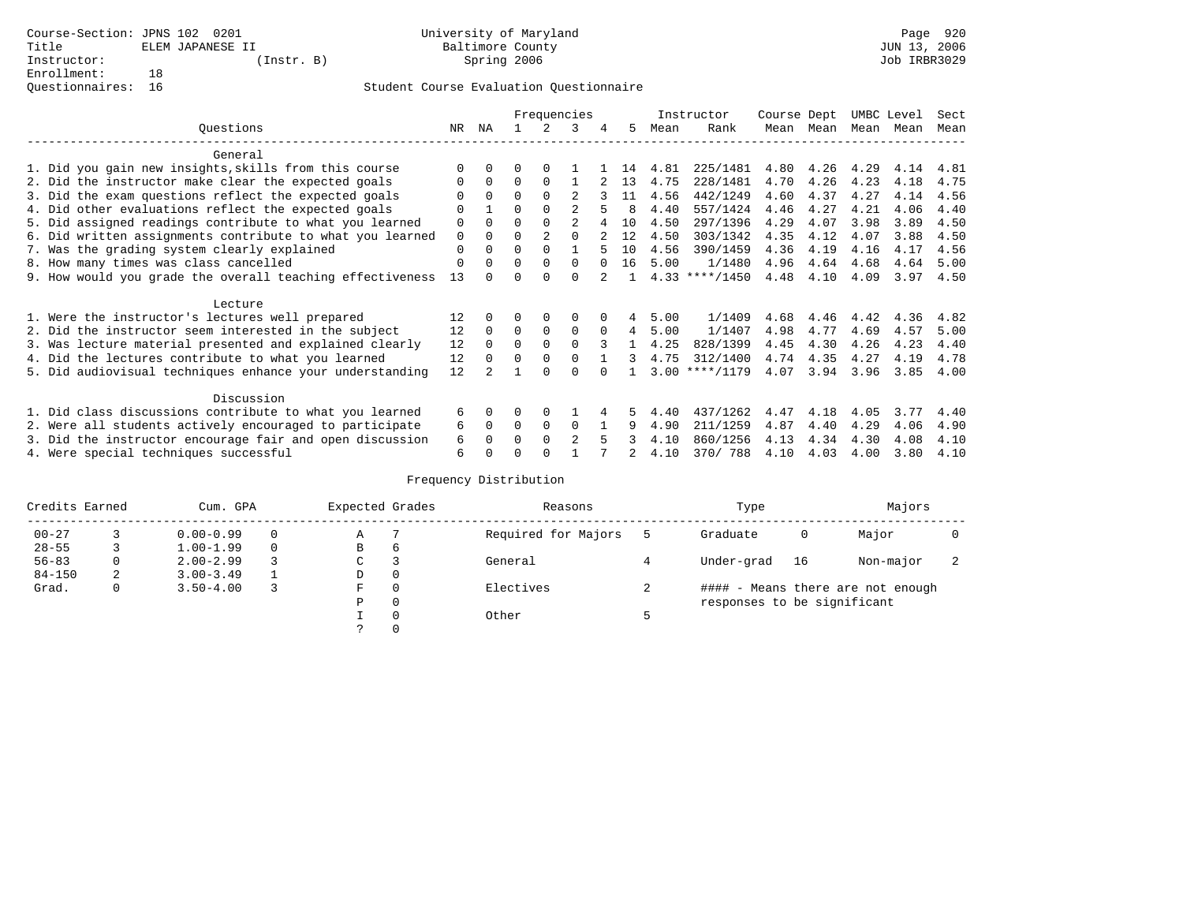### Student Course Evaluation Questionnaire

|                                                           |             | Frequencies |          |                |                |          |    |      | Instructor       | Course Dept |           | UMBC Level |           | Sect |
|-----------------------------------------------------------|-------------|-------------|----------|----------------|----------------|----------|----|------|------------------|-------------|-----------|------------|-----------|------|
| Ouestions                                                 | NR          | ΝA          |          | 2              | 3              | 4        | 5  | Mean | Rank             |             | Mean Mean |            | Mean Mean | Mean |
| General                                                   |             |             |          |                |                |          |    |      |                  |             |           |            |           |      |
| 1. Did you gain new insights, skills from this course     |             | $\Omega$    | 0        | $\Omega$       |                |          | 14 | 4.81 | 225/1481         | 4.80        | 4.26      | 4.29       | 4.14      | 4.81 |
| 2. Did the instructor make clear the expected goals       | 0           | $\Omega$    | 0        | $\Omega$       |                |          | 13 | 4.75 | 228/1481         | 4.70        | 4.26      | 4.23       | 4.18      | 4.75 |
| 3. Did the exam questions reflect the expected goals      |             | $\Omega$    | $\Omega$ | $\Omega$       |                |          | 11 | 4.56 | 442/1249         | 4.60        | 4.37      | 4.27       | 4.14      | 4.56 |
| 4. Did other evaluations reflect the expected goals       | $\Omega$    |             | U        | $\Omega$       | 2              |          | 8  | 4.40 | 557/1424         | 4.46        | 4.27      | 4.21       | 4.06      | 4.40 |
| 5. Did assigned readings contribute to what you learned   | 0           | $\Omega$    | 0        | $\Omega$       | 2              |          | 10 | 4.50 | 297/1396         | 4.29        | 4.07      | 3.98       | 3.89      | 4.50 |
| 6. Did written assignments contribute to what you learned | $\mathbf 0$ | $\Omega$    | $\Omega$ | $\overline{2}$ | $\Omega$       |          | 12 | 4.50 | 303/1342         | 4.35        | 4.12      | 4.07       | 3.88      | 4.50 |
| 7. Was the grading system clearly explained               | 0           | $\Omega$    | 0        | $\Omega$       |                |          | 10 | 4.56 | 390/1459         | 4.36        | 4.19      | 4.16       | 4.17      | 4.56 |
| 8. How many times was class cancelled                     | 0           | $\Omega$    | $\Omega$ | $\Omega$       | $\Omega$       | $\cap$   | 16 | 5.00 | 1/1480           | 4.96        | 4.64      | 4.68       | 4.64      | 5.00 |
| 9. How would you grade the overall teaching effectiveness | 13          |             |          | <sup>n</sup>   | <sup>n</sup>   |          |    |      | $4.33$ ****/1450 | 4.48        | 4.10      | 4.09       | 3.97      | 4.50 |
| Lecture                                                   |             |             |          |                |                |          |    |      |                  |             |           |            |           |      |
| 1. Were the instructor's lectures well prepared           | 12          |             |          | 0              | 0              |          | 4  | 5.00 | 1/1409           | 4.68        | 4.46      | 4.42       | 4.36      | 4.82 |
| 2. Did the instructor seem interested in the subject      | 12          | $\Omega$    | $\Omega$ | 0              | $\mathbf 0$    | $\Omega$ | 4  | 5.00 | 1/1407           | 4.98        | 4.77      | 4.69       | 4.57      | 5.00 |
| 3. Was lecture material presented and explained clearly   | 12          | $\Omega$    | $\Omega$ | $\Omega$       | $\Omega$       |          |    | 4.25 | 828/1399         | 4.45        | 4.30      | 4.26       | 4.23      | 4.40 |
| 4. Did the lectures contribute to what you learned        | 12          | $\Omega$    | $\Omega$ | $\Omega$       | $\Omega$       |          | 3  | 4.75 | 312/1400         | 4.74        | 4.35      | 4.27       | 4.19      | 4.78 |
| 5. Did audiovisual techniques enhance your understanding  | 12          |             |          |                |                |          |    |      | $3.00$ ****/1179 | 4.07        | 3.94      | 3.96       | 3.85      | 4.00 |
| Discussion                                                |             |             |          |                |                |          |    |      |                  |             |           |            |           |      |
| 1. Did class discussions contribute to what you learned   | 6           | $\Omega$    |          | $\Omega$       |                |          |    | 4.40 | 437/1262         | 4.47        | 4.18      | 4.05       | 3.77      | 4.40 |
| 2. Were all students actively encouraged to participate   |             |             |          | 0              | $\Omega$       |          | 9  | 4.90 | 211/1259         | 4.87        | 4.40      | 4.29       | 4.06      | 4.90 |
| 3. Did the instructor encourage fair and open discussion  | 6           |             |          | $\Omega$       | $\mathfrak{D}$ | 5        |    | 4.10 | 860/1256         | 4.13        | 4.34      | 4.30       | 4.08      | 4.10 |
| 4. Were special techniques successful                     | 6           |             |          |                |                |          |    | 4.10 | 370/ 788         | 4.10        | 4.03      | 4.00       | 3.80      | 4.10 |

| Credits Earned |   | Cum. GPA      |  |             | Expected Grades | Reasons             | Type                        | Majors |                                   |                          |
|----------------|---|---------------|--|-------------|-----------------|---------------------|-----------------------------|--------|-----------------------------------|--------------------------|
| $00 - 27$      |   | $0.00 - 0.99$ |  | Α           |                 | Required for Majors | Graduate                    | 0      | Major                             |                          |
| $28 - 55$      |   | $1.00 - 1.99$ |  | B           | 6               |                     |                             |        |                                   |                          |
| $56 - 83$      | 0 | $2.00 - 2.99$ |  | $\sim$<br>◡ |                 | General             | Under-grad                  | 16     | Non-major                         | $\overline{\phantom{a}}$ |
| $84 - 150$     | 2 | $3.00 - 3.49$ |  | D           | 0               |                     |                             |        |                                   |                          |
| Grad.          | 0 | $3.50 - 4.00$ |  | F           | 0               | Electives           |                             |        | #### - Means there are not enough |                          |
|                |   |               |  | Ρ           | 0               |                     | responses to be significant |        |                                   |                          |
|                |   |               |  |             | 0               | Other               |                             |        |                                   |                          |
|                |   |               |  | C.          |                 |                     |                             |        |                                   |                          |